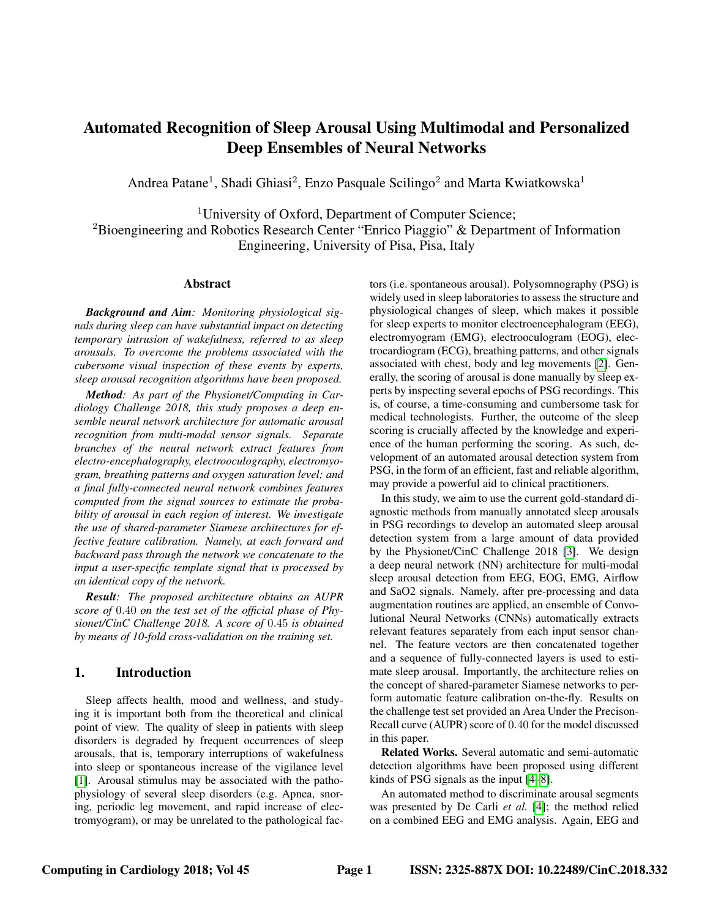# <span id="page-0-0"></span>Automated Recognition of Sleep Arousal Using Multimodal and Personalized Deep Ensembles of Neural Networks

Andrea Patane<sup>1</sup>, Shadi Ghiasi<sup>2</sup>, Enzo Pasquale Scilingo<sup>2</sup> and Marta Kwiatkowska<sup>1</sup>

<sup>1</sup>University of Oxford, Department of Computer Science; <sup>2</sup>Bioengineering and Robotics Research Center "Enrico Piaggio" & Department of Information Engineering, University of Pisa, Pisa, Italy

### Abstract

*Background and Aim: Monitoring physiological signals during sleep can have substantial impact on detecting temporary intrusion of wakefulness, referred to as sleep arousals. To overcome the problems associated with the cubersome visual inspection of these events by experts, sleep arousal recognition algorithms have been proposed.*

*Method: As part of the Physionet/Computing in Cardiology Challenge 2018, this study proposes a deep ensemble neural network architecture for automatic arousal recognition from multi-modal sensor signals. Separate branches of the neural network extract features from electro-encephalography, electrooculography, electromyogram, breathing patterns and oxygen saturation level; and a final fully-connected neural network combines features computed from the signal sources to estimate the probability of arousal in each region of interest. We investigate the use of shared-parameter Siamese architectures for effective feature calibration. Namely, at each forward and backward pass through the network we concatenate to the input a user-specific template signal that is processed by an identical copy of the network.*

*Result: The proposed architecture obtains an AUPR score of* 0.40 *on the test set of the official phase of Physionet/CinC Challenge 2018. A score of* 0.45 *is obtained by means of 10-fold cross-validation on the training set.*

# 1. Introduction

Sleep affects health, mood and wellness, and studying it is important both from the theoretical and clinical point of view. The quality of sleep in patients with sleep disorders is degraded by frequent occurrences of sleep arousals, that is, temporary interruptions of wakefulness into sleep or spontaneous increase of the vigilance level [\[1\]](#page-3-0). Arousal stimulus may be associated with the pathophysiology of several sleep disorders (e.g. Apnea, snoring, periodic leg movement, and rapid increase of electromyogram), or may be unrelated to the pathological factors (i.e. spontaneous arousal). Polysomnography (PSG) is widely used in sleep laboratories to assess the structure and physiological changes of sleep, which makes it possible for sleep experts to monitor electroencephalogram (EEG), electromyogram (EMG), electrooculogram (EOG), electrocardiogram (ECG), breathing patterns, and other signals associated with chest, body and leg movements [\[2\]](#page-3-1). Generally, the scoring of arousal is done manually by sleep experts by inspecting several epochs of PSG recordings. This is, of course, a time-consuming and cumbersome task for medical technologists. Further, the outcome of the sleep scoring is crucially affected by the knowledge and experience of the human performing the scoring. As such, development of an automated arousal detection system from PSG, in the form of an efficient, fast and reliable algorithm, may provide a powerful aid to clinical practitioners.

In this study, we aim to use the current gold-standard diagnostic methods from manually annotated sleep arousals in PSG recordings to develop an automated sleep arousal detection system from a large amount of data provided by the Physionet/CinC Challenge 2018 [\[3\]](#page-3-2). We design a deep neural network (NN) architecture for multi-modal sleep arousal detection from EEG, EOG, EMG, Airflow and SaO2 signals. Namely, after pre-processing and data augmentation routines are applied, an ensemble of Convolutional Neural Networks (CNNs) automatically extracts relevant features separately from each input sensor channel. The feature vectors are then concatenated together and a sequence of fully-connected layers is used to estimate sleep arousal. Importantly, the architecture relies on the concept of shared-parameter Siamese networks to perform automatic feature calibration on-the-fly. Results on the challenge test set provided an Area Under the Precison-Recall curve (AUPR) score of 0.40 for the model discussed in this paper.

Related Works. Several automatic and semi-automatic detection algorithms have been proposed using different kinds of PSG signals as the input [\[4](#page-3-3)[–8\]](#page-3-4).

An automated method to discriminate arousal segments was presented by De Carli *et al.* [\[4\]](#page-3-3); the method relied on a combined EEG and EMG analysis. Again, EEG and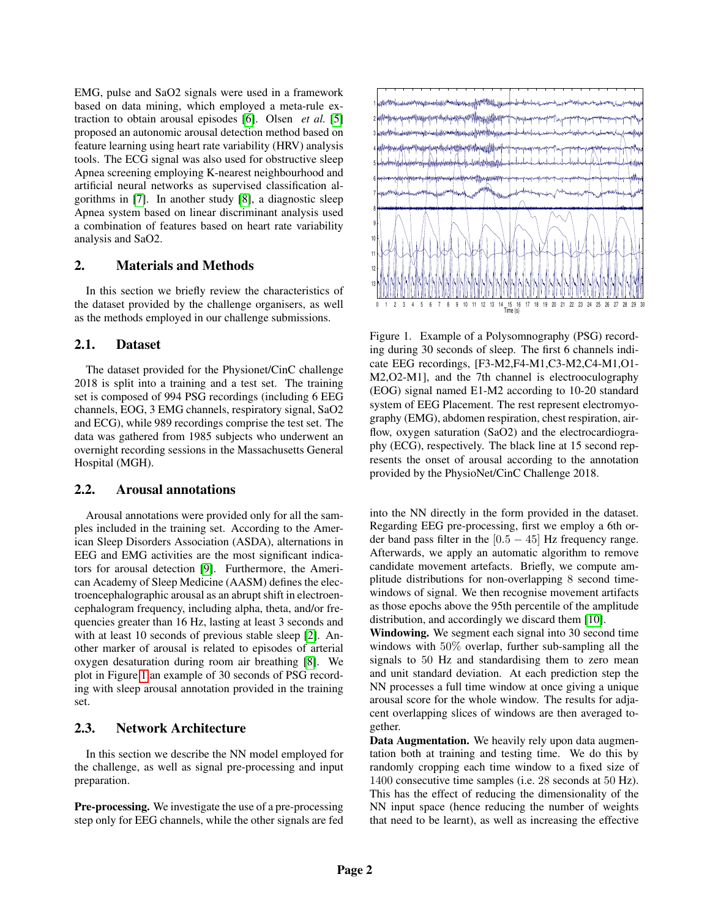EMG, pulse and SaO2 signals were used in a framework based on data mining, which employed a meta-rule extraction to obtain arousal episodes [\[6\]](#page-3-5). Olsen *et al.* [\[5\]](#page-3-6) proposed an autonomic arousal detection method based on feature learning using heart rate variability (HRV) analysis tools. The ECG signal was also used for obstructive sleep Apnea screening employing K-nearest neighbourhood and artificial neural networks as supervised classification algorithms in [\[7\]](#page-3-7). In another study [\[8\]](#page-3-4), a diagnostic sleep Apnea system based on linear discriminant analysis used a combination of features based on heart rate variability analysis and SaO2.

### 2. Materials and Methods

In this section we briefly review the characteristics of the dataset provided by the challenge organisers, as well as the methods employed in our challenge submissions.

## 2.1. Dataset

The dataset provided for the Physionet/CinC challenge 2018 is split into a training and a test set. The training set is composed of 994 PSG recordings (including 6 EEG channels, EOG, 3 EMG channels, respiratory signal, SaO2 and ECG), while 989 recordings comprise the test set. The data was gathered from 1985 subjects who underwent an overnight recording sessions in the Massachusetts General Hospital (MGH).

## 2.2. Arousal annotations

Arousal annotations were provided only for all the samples included in the training set. According to the American Sleep Disorders Association (ASDA), alternations in EEG and EMG activities are the most significant indicators for arousal detection [\[9\]](#page-3-8). Furthermore, the American Academy of Sleep Medicine (AASM) defines the electroencephalographic arousal as an abrupt shift in electroencephalogram frequency, including alpha, theta, and/or frequencies greater than 16 Hz, lasting at least 3 seconds and with at least 10 seconds of previous stable sleep [\[2\]](#page-3-1). Another marker of arousal is related to episodes of arterial oxygen desaturation during room air breathing [\[8\]](#page-3-4). We plot in Figure [1](#page-1-0) an example of 30 seconds of PSG recording with sleep arousal annotation provided in the training set.

# 2.3. Network Architecture

In this section we describe the NN model employed for the challenge, as well as signal pre-processing and input preparation.

Pre-processing. We investigate the use of a pre-processing step only for EEG channels, while the other signals are fed



<span id="page-1-0"></span>Figure 1. Example of a Polysomnography (PSG) recording during 30 seconds of sleep. The first 6 channels indicate EEG recordings, [F3-M2,F4-M1,C3-M2,C4-M1,O1- M2,O2-M1], and the 7th channel is electrooculography (EOG) signal named E1-M2 according to 10-20 standard system of EEG Placement. The rest represent electromyography (EMG), abdomen respiration, chest respiration, airflow, oxygen saturation (SaO2) and the electrocardiography (ECG), respectively. The black line at 15 second represents the onset of arousal according to the annotation provided by the PhysioNet/CinC Challenge 2018.

into the NN directly in the form provided in the dataset. Regarding EEG pre-processing, first we employ a 6th order band pass filter in the  $[0.5 - 45]$  Hz frequency range. Afterwards, we apply an automatic algorithm to remove candidate movement artefacts. Briefly, we compute amplitude distributions for non-overlapping 8 second timewindows of signal. We then recognise movement artifacts as those epochs above the 95th percentile of the amplitude distribution, and accordingly we discard them [\[10\]](#page-3-9).

Windowing. We segment each signal into 30 second time windows with 50% overlap, further sub-sampling all the signals to 50 Hz and standardising them to zero mean and unit standard deviation. At each prediction step the NN processes a full time window at once giving a unique arousal score for the whole window. The results for adjacent overlapping slices of windows are then averaged together.

Data Augmentation. We heavily rely upon data augmentation both at training and testing time. We do this by randomly cropping each time window to a fixed size of 1400 consecutive time samples (i.e. 28 seconds at 50 Hz). This has the effect of reducing the dimensionality of the NN input space (hence reducing the number of weights that need to be learnt), as well as increasing the effective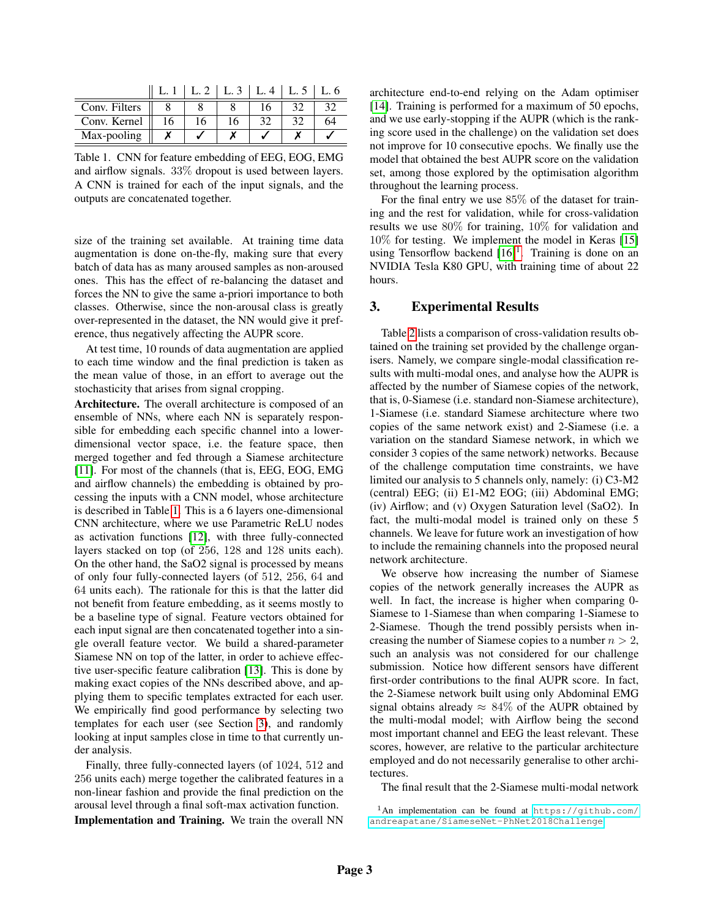|               |    |    |    | $L.3 \perp L.4$ | L. 5 | L. 6 |
|---------------|----|----|----|-----------------|------|------|
| Conv. Filters |    |    |    |                 |      |      |
| Conv. Kernel  | 16 | 16 | 16 |                 |      | 64   |
| Max-pooling   |    |    |    |                 |      |      |

<span id="page-2-0"></span>Table 1. CNN for feature embedding of EEG, EOG, EMG and airflow signals. 33% dropout is used between layers. A CNN is trained for each of the input signals, and the outputs are concatenated together.

size of the training set available. At training time data augmentation is done on-the-fly, making sure that every batch of data has as many aroused samples as non-aroused ones. This has the effect of re-balancing the dataset and forces the NN to give the same a-priori importance to both classes. Otherwise, since the non-arousal class is greatly over-represented in the dataset, the NN would give it preference, thus negatively affecting the AUPR score.

At test time, 10 rounds of data augmentation are applied to each time window and the final prediction is taken as the mean value of those, in an effort to average out the stochasticity that arises from signal cropping.

Architecture. The overall architecture is composed of an ensemble of NNs, where each NN is separately responsible for embedding each specific channel into a lowerdimensional vector space, i.e. the feature space, then merged together and fed through a Siamese architecture [\[11\]](#page-3-10). For most of the channels (that is, EEG, EOG, EMG and airflow channels) the embedding is obtained by processing the inputs with a CNN model, whose architecture is described in Table [1.](#page-2-0) This is a 6 layers one-dimensional CNN architecture, where we use Parametric ReLU nodes as activation functions [\[12\]](#page-3-11), with three fully-connected layers stacked on top (of 256, 128 and 128 units each). On the other hand, the SaO2 signal is processed by means of only four fully-connected layers (of 512, 256, 64 and 64 units each). The rationale for this is that the latter did not benefit from feature embedding, as it seems mostly to be a baseline type of signal. Feature vectors obtained for each input signal are then concatenated together into a single overall feature vector. We build a shared-parameter Siamese NN on top of the latter, in order to achieve effective user-specific feature calibration [\[13\]](#page-3-12). This is done by making exact copies of the NNs described above, and applying them to specific templates extracted for each user. We empirically find good performance by selecting two templates for each user (see Section [3\)](#page-2-1), and randomly looking at input samples close in time to that currently under analysis.

Finally, three fully-connected layers (of 1024, 512 and 256 units each) merge together the calibrated features in a non-linear fashion and provide the final prediction on the arousal level through a final soft-max activation function.

Implementation and Training. We train the overall NN

architecture end-to-end relying on the Adam optimiser [\[14\]](#page-3-13). Training is performed for a maximum of 50 epochs, and we use early-stopping if the AUPR (which is the ranking score used in the challenge) on the validation set does not improve for 10 consecutive epochs. We finally use the model that obtained the best AUPR score on the validation set, among those explored by the optimisation algorithm throughout the learning process.

For the final entry we use 85% of the dataset for training and the rest for validation, while for cross-validation results we use 80% for training, 10% for validation and 10% for testing. We implement the model in Keras [\[15\]](#page-3-14) using Tensorflow backend  $[16]$ <sup>[1](#page-0-0)</sup>. Training is done on an NVIDIA Tesla K80 GPU, with training time of about 22 hours.

#### <span id="page-2-1"></span>3. Experimental Results

Table [2](#page-3-16) lists a comparison of cross-validation results obtained on the training set provided by the challenge organisers. Namely, we compare single-modal classification results with multi-modal ones, and analyse how the AUPR is affected by the number of Siamese copies of the network, that is, 0-Siamese (i.e. standard non-Siamese architecture), 1-Siamese (i.e. standard Siamese architecture where two copies of the same network exist) and 2-Siamese (i.e. a variation on the standard Siamese network, in which we consider 3 copies of the same network) networks. Because of the challenge computation time constraints, we have limited our analysis to 5 channels only, namely: (i) C3-M2 (central) EEG; (ii) E1-M2 EOG; (iii) Abdominal EMG; (iv) Airflow; and (v) Oxygen Saturation level (SaO2). In fact, the multi-modal model is trained only on these 5 channels. We leave for future work an investigation of how to include the remaining channels into the proposed neural network architecture.

We observe how increasing the number of Siamese copies of the network generally increases the AUPR as well. In fact, the increase is higher when comparing 0- Siamese to 1-Siamese than when comparing 1-Siamese to 2-Siamese. Though the trend possibly persists when increasing the number of Siamese copies to a number  $n > 2$ , such an analysis was not considered for our challenge submission. Notice how different sensors have different first-order contributions to the final AUPR score. In fact, the 2-Siamese network built using only Abdominal EMG signal obtains already  $\approx 84\%$  of the AUPR obtained by the multi-modal model; with Airflow being the second most important channel and EEG the least relevant. These scores, however, are relative to the particular architecture employed and do not necessarily generalise to other architectures.

The final result that the 2-Siamese multi-modal network

<sup>1</sup>An implementation can be found at [https://github.com/](https://github.com/andreapatane/SiameseNet-PhNet2018Challenge) [andreapatane/SiameseNet-PhNet2018Challenge](https://github.com/andreapatane/SiameseNet-PhNet2018Challenge).